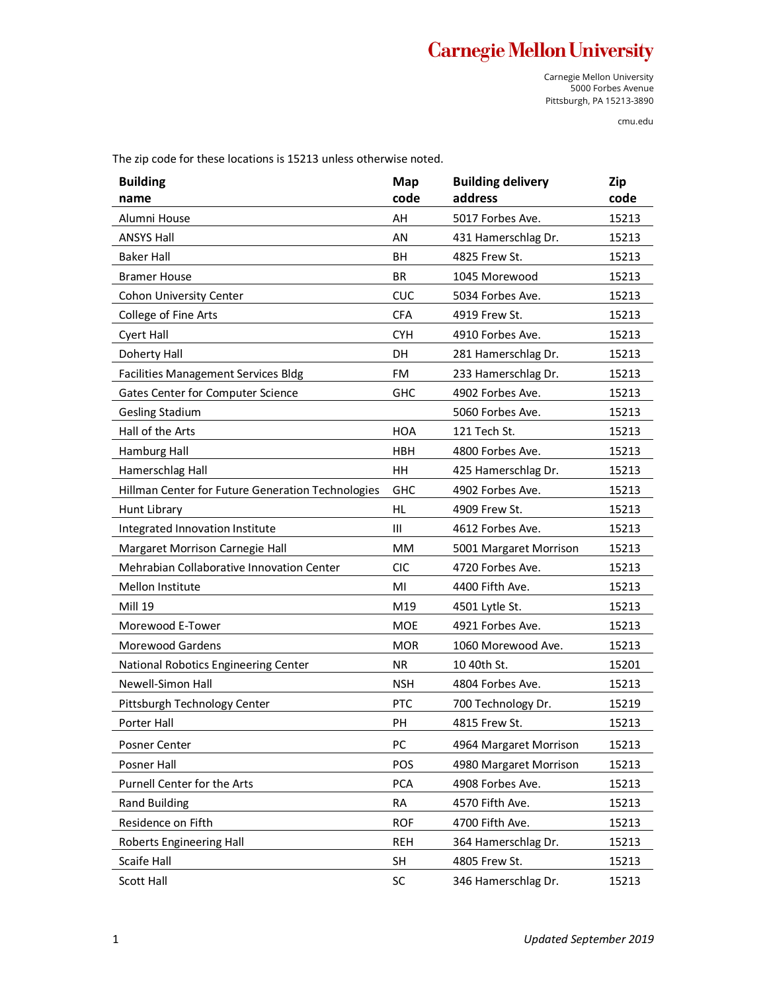## **Carnegie Mellon University**

Carnegie Mellon University 5000 Forbes Avenue Pittsburgh, PA 15213-3890

cmu.edu

The zip code for these locations is 15213 unless otherwise noted.

| <b>Building</b><br>name                           | Map<br>code | <b>Building delivery</b><br>address | Zip<br>code |
|---------------------------------------------------|-------------|-------------------------------------|-------------|
| Alumni House                                      | AH          | 5017 Forbes Ave.                    | 15213       |
| <b>ANSYS Hall</b>                                 | ΑN          | 431 Hamerschlag Dr.                 | 15213       |
| <b>Baker Hall</b>                                 | BH          | 4825 Frew St.                       | 15213       |
| <b>Bramer House</b>                               | <b>BR</b>   | 1045 Morewood                       | 15213       |
| Cohon University Center                           | <b>CUC</b>  | 5034 Forbes Ave.                    | 15213       |
| College of Fine Arts                              | <b>CFA</b>  | 4919 Frew St.                       | 15213       |
| <b>Cyert Hall</b>                                 | <b>CYH</b>  | 4910 Forbes Ave.                    | 15213       |
| Doherty Hall                                      | DH          | 281 Hamerschlag Dr.                 | 15213       |
| Facilities Management Services Bldg               | <b>FM</b>   | 233 Hamerschlag Dr.                 | 15213       |
| Gates Center for Computer Science                 | <b>GHC</b>  | 4902 Forbes Ave.                    | 15213       |
| <b>Gesling Stadium</b>                            |             | 5060 Forbes Ave.                    | 15213       |
| Hall of the Arts                                  | <b>HOA</b>  | 121 Tech St.                        | 15213       |
| Hamburg Hall                                      | <b>HBH</b>  | 4800 Forbes Ave.                    | 15213       |
| Hamerschlag Hall                                  | <b>HH</b>   | 425 Hamerschlag Dr.                 | 15213       |
| Hillman Center for Future Generation Technologies | <b>GHC</b>  | 4902 Forbes Ave.                    | 15213       |
| Hunt Library                                      | <b>HL</b>   | 4909 Frew St.                       | 15213       |
| Integrated Innovation Institute                   | Ш           | 4612 Forbes Ave.                    | 15213       |
| Margaret Morrison Carnegie Hall                   | MM          | 5001 Margaret Morrison              | 15213       |
| Mehrabian Collaborative Innovation Center         | <b>CIC</b>  | 4720 Forbes Ave.                    | 15213       |
| Mellon Institute                                  | MI          | 4400 Fifth Ave.                     | 15213       |
| <b>Mill 19</b>                                    | M19         | 4501 Lytle St.                      | 15213       |
| Morewood E-Tower                                  | <b>MOE</b>  | 4921 Forbes Ave.                    | 15213       |
| <b>Morewood Gardens</b>                           | <b>MOR</b>  | 1060 Morewood Ave.                  | 15213       |
| National Robotics Engineering Center              | <b>NR</b>   | 10 40th St.                         | 15201       |
| Newell-Simon Hall                                 | <b>NSH</b>  | 4804 Forbes Ave.                    | 15213       |
| Pittsburgh Technology Center                      | <b>PTC</b>  | 700 Technology Dr.                  | 15219       |
| Porter Hall                                       | PH          | 4815 Frew St.                       | 15213       |
| Posner Center                                     | PC          | 4964 Margaret Morrison              | 15213       |
| Posner Hall                                       | POS         | 4980 Margaret Morrison              | 15213       |
| Purnell Center for the Arts                       | <b>PCA</b>  | 4908 Forbes Ave.                    | 15213       |
| <b>Rand Building</b>                              | <b>RA</b>   | 4570 Fifth Ave.                     | 15213       |
| Residence on Fifth                                | <b>ROF</b>  | 4700 Fifth Ave.                     | 15213       |
| Roberts Engineering Hall                          | REH         | 364 Hamerschlag Dr.                 | 15213       |
| Scaife Hall                                       | <b>SH</b>   | 4805 Frew St.                       | 15213       |
| Scott Hall                                        | SC          | 346 Hamerschlag Dr.                 | 15213       |